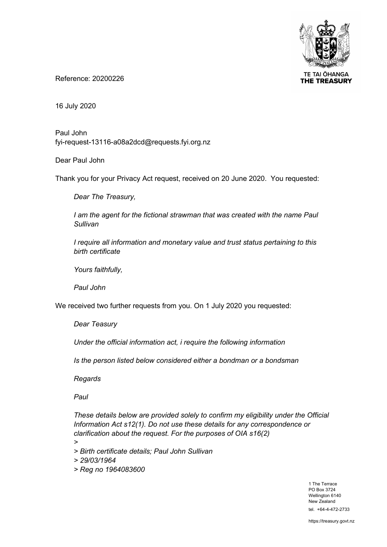

**TE TAI OHANGA THE TREASURY** 

Reference: 20200226

16 July 2020

Paul John fyi-request-13116-a08a2dcd@requests.fyi.org.nz

Dear Paul John

Thank you for your Privacy Act request, received on 20 June 2020. You requested:

*Dear The Treasury,*

*I* am the agent for the fictional strawman that was created with the name Paul *Sullivan*

*I require all information and monetary value and trust status pertaining to this birth certificate* 

*Yours faithfully,*

*Paul John*

We received two further requests from you. On 1 July 2020 you requested:

*Dear Teasury*

*Under the official information act, i require the following information*

*Is the person listed below considered either a bondman or a bondsman*

*Regards*

*Paul*

*These details below are provided solely to confirm my eligibility under the Official Information Act s12(1). Do not use these details for any correspondence or clarification about the request. For the purposes of OIA s16(2)*

*>*

*> Birth certificate details; Paul John Sullivan*

*> 29/03/1964*

*> Reg no 1964083600*

1 The Terrace PO Box 3724 Wellington 6140 New Zealand tel. +64-4-472-2733